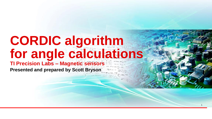# **CORDIC algorithm for angle calculations**

### **TI Precision Labs – Magnetic sensors Presented and prepared by Scott Bryson**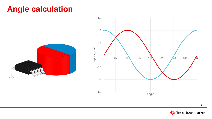## **Angle calculation**





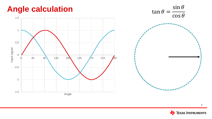

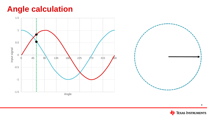## **Angle calculation**



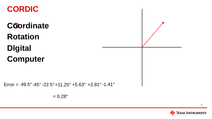## **CORDIC**

**CO Coordinate R Rotation DI Digital C Computer**

Error =  $49.5^{\circ}$ -45 $^{\circ}$ -22.5 $^{\circ}$ +11.25 $^{\circ}$  +5.63 $^{\circ}$  +2.81 $^{\circ}$ -1.41 $^{\circ}$ 

 $= 0.28$ °

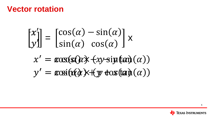$$
\begin{bmatrix} x_1' \\ y' \end{bmatrix} = \begin{bmatrix} \cos(\alpha) - \sin(\alpha) \\ \sin(\alpha) & \cos(\alpha) \end{bmatrix} x
$$

$$
x' = \cos(\sin(\alpha) + \cos(\tan(\alpha)))
$$
  

$$
y' = \cos(\cos(\alpha) + \cos(\tan(\alpha)))
$$

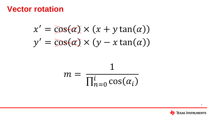$$
x' = \cos(\alpha) \times (x + y \tan(\alpha))
$$
  

$$
y' = \cos(\alpha) \times (y - x \tan(\alpha))
$$

$$
m = \frac{1}{\prod_{n=0}^{i} \cos(\alpha_i)}
$$

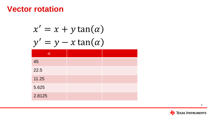| $x' = x + y \tan(\alpha)$ |  |  |  |
|---------------------------|--|--|--|
| $= y - x \tan(\alpha)$    |  |  |  |
| $\alpha$                  |  |  |  |
| 45                        |  |  |  |
| 22.5                      |  |  |  |
| 11.25                     |  |  |  |
| 5.625                     |  |  |  |
| 2.8125                    |  |  |  |

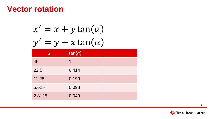|  |  | $x' = x + y \tan(\alpha)$ |  |
|--|--|---------------------------|--|
|  |  | $y' = y - x \tan(\alpha)$ |  |
|  |  |                           |  |

| $\alpha$ | $tan(\alpha)$ |  |
|----------|---------------|--|
| 45       | 1             |  |
| 22.5     | 0.414         |  |
| 11.25    | 0.199         |  |
| 5.625    | 0.098         |  |
| 2.8125   | 0.049         |  |

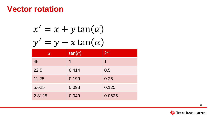|  | $x' = x + y \tan(\alpha)$ |
|--|---------------------------|
|  | $y' = y - x \tan(\alpha)$ |

| $\alpha$ | $tan(\alpha)$ | $2-n$  |
|----------|---------------|--------|
| 45       | 1             | 1      |
| 22.5     | 0.414         | 0.5    |
| 11.25    | 0.199         | 0.25   |
| 5.625    | 0.098         | 0.125  |
| 2.8125   | 0.049         | 0.0625 |

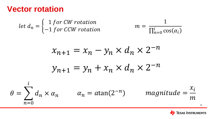$$
\det d_n = \begin{cases} 1 \text{ for } CW \text{ rotation} \\ -1 \text{ for } CCW \text{ rotation} \end{cases} \qquad m = \frac{1}{\prod_{n=0}^{i} \cos(\alpha_i)}
$$

$$
\chi_{n+1} = \chi_n - \chi_n \times d_n \times 2^{-n}
$$

$$
\chi_{n+1} = \chi_n + \chi_n \times d_n \times 2^{-n}
$$

$$
\theta = \sum_{n=0}^{i} d_n \times \alpha_n \qquad \alpha_n = \text{atan}(2^{-n}) \qquad \text{magnitude} = \frac{x_i}{m}
$$

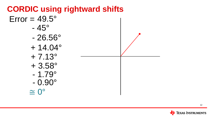### **TEXAS INSTRUMENTS**

# $\cong 0^\circ$

- $-1.79^\circ$  $-0.90^\circ$
- $+3.58^{\circ}$
- $+ 14.04^{\circ}$  $+ 7.13^{\circ}$
- $-26.56^\circ$

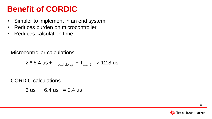# **Benefit of CORDIC**

- Simpler to implement in an end system
- Reduces burden on microcontroller
- Reduces calculation time

Microcontroller calculations

$$
2 * 6.4 us + Tread-delay + Tatan2 > 12.8 us
$$

CORDIC calculations

 $3$  us  $+6.4$  us  $= 9.4$  us

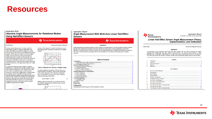### **Resources**

#### **Application Brief Absolute Angle Measurements for Rotational Motion Using Hall-Effect Sensors**

#### **EXAS INSTRUMENTS**

#### **Scott Bryson**

Rotation-based devices such as dials, joysticks. thermostats, electronic steering assemblies, and motor-controlled joints typical to gimbals or robotic arms all rely on the ability to accurately define angular position. While there are means to monitor rotation angle using mechanical contacts, these types of sensors are prone to wear out with use and can suffer performance loss in cases where dirt and grime are present. Hall-effect sensors are a contactless sensing alternative which can offer longer product life. improved reliability, and higher performance for angle sensing.

In applications where angular rotation is present, feedback to a controller can provide valuable insight to the device configuration. This might be user input from a knob or steering wheel, or exact position control for motor-driven configurations. Implementing this solution using a Hall-effect sensor normally requires placing a magnet on the rotating body with a nearby sensor capable of detecting the magnetic flux density produced by the magnet. Monitoring angles with linear Hall-effect sensors can be most easily achieved when using a diametric cylinder magnet installed along the axis of rotation.



**Current and Position Sensing** 

representing each component produced by a rotating magnet.



**Figure 2. Magnetic Flux Density vs Magnet Angle** 

If a sensor element is oriented in the XZ plane, we would be able to monitor B<sub>v</sub> which is the component of the vector directed in the Y direction. Using this input, it is possible to resolve up to 180° of rotation using the following relationship.

Device Output =  $\alpha \sin(\theta)$ 

Adding a second sensor 90° out of phase from the first enables expanding the absolute angle sensing solution to a full 360°.



### **Application Report**

Angle Measurement With Multi-Axis Linear Hall-Effect **Sensors** 

#### **VALIA** TEXAS INSTRUMENTS

#### **ABSTRACT**

As the demand for automated precision control systems increases there is a similar increase to design systems that are more reliable and less likely to fail from mechanical wear. Many of these applications require the detection of angular rotation. While this function can be implemented using multiple one-dimensional sensors, a new class of three-dimensional sensors offers more flexibility and accuracy while allowing more compact solutions.

#### **Table of Contents**

| 1 Introduction.                 |
|---------------------------------|
|                                 |
|                                 |
| 2 Benefit of Multi-Axis Sensors |
|                                 |
|                                 |
|                                 |
|                                 |
|                                 |
|                                 |
|                                 |
|                                 |
|                                 |
|                                 |
|                                 |
|                                 |
|                                 |
| 6 References                    |
|                                 |

#### **Trademarks**

 $(1)$ 

All trademarks are the property of their respective owners.

#### **TEXAS INSTRUMENTS**

**Application Report** SLYA036A-July 2018-Revised August 2018

#### Linear Hall Effect Sensor Angle Measurement Theory, **Implementation, and Calibration**

**Mitch Morse** 

**Current and Magnetic Sensing** 

#### **ABSTRACT**

This application report discusses how linear Hall effect sensors can be used to measure 2D angles. including both limited-angle and 360° rotation measurements. This report provides details on some calibrated and uncalibrated implementations to help meet angle measurement accuracy requirements. This report also covers the number of sensors needed, and the preferred magnet types for each method.

#### **Contents**

Introduction Overview Device Descriptions ............................ References .........

#### **List of Figures**

| 1. |  |
|----|--|
| 2  |  |
| 3  |  |
| 4  |  |
| 5  |  |
| ĥ  |  |
| 7  |  |
| 8  |  |
| 9  |  |
| 10 |  |
| 11 |  |
| 12 |  |
|    |  |

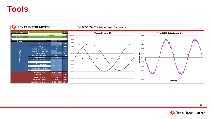### **Tools**

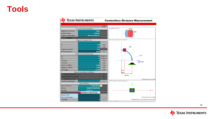| <b>TEXAS INSTRUMENTS</b>        |                                        |                | <b>Contactless Distance Measurement</b>    |
|---------------------------------|----------------------------------------|----------------|--------------------------------------------|
|                                 |                                        | units          |                                            |
|                                 | General Implementation                 |                | Magnet Dimensions<br>$\frac{7}{1}$         |
| Magnet Movement                 | Hinge                                  |                | 5 <sub>mm</sub>                            |
| Magnet Shape                    | Cylinder                               |                |                                            |
| Magnet Orientation              | <b>North Facing DUT</b>                |                |                                            |
|                                 |                                        |                | XZ-Plane Displacement Dimensions           |
|                                 | Magnet Characteristics                 |                |                                            |
| R                               | 5.00                                   | mm             |                                            |
| T                               | 7.00                                   | mm             | $60^{\circ}$                               |
| Magnet Material                 | <b>N48</b>                             |                |                                            |
| Br (Remanence)                  | 14000                                  | G              |                                            |
|                                 | Displacement Dimensions                |                |                                            |
| a1                              | 60                                     | degrees        | $15^{\circ}$                               |
| a2                              | 15                                     | degrees        |                                            |
| X-Offset                        | $\mathbf{0}$                           | mm             | $\frac{4}{3}$ -5 mm                        |
| Y-Offset                        |                                        | mm.            |                                            |
| Sensor Z-Offset                 | $-5.000$                               | mm             |                                            |
| Magnet Z-Offset                 | 3.000                                  | mm             |                                            |
| <b>Arc Radius</b>               | 15.000                                 | mm             |                                            |
|                                 | Sensor Operating Conditions            |                | <b>B</b> mm                                |
|                                 |                                        |                | 15mm                                       |
|                                 |                                        |                |                                            |
|                                 |                                        |                | *Dimensions not to scale                   |
| VSUPPLY (nominal)               |                                        | $\overline{M}$ | XY-Plane Displacement Dimensions           |
|                                 | Sensor Filters<br><b>3-Axis linear</b> |                |                                            |
| <b>Type of Device</b><br>Device | TMAG5170A1EDGK                         |                |                                            |
| package                         | VSSOP <sub>18</sub>                    |                |                                            |
|                                 | Calculate B-Field & Vout               |                |                                            |
| Sensor Axis                     |                                        |                |                                            |
| Operating Region                |                                        |                | *Dimensions not to Scale                   |
| VL (MIN)                        |                                        | $\vee$         | *Magnet Offsets when magnet oriented at 0* |